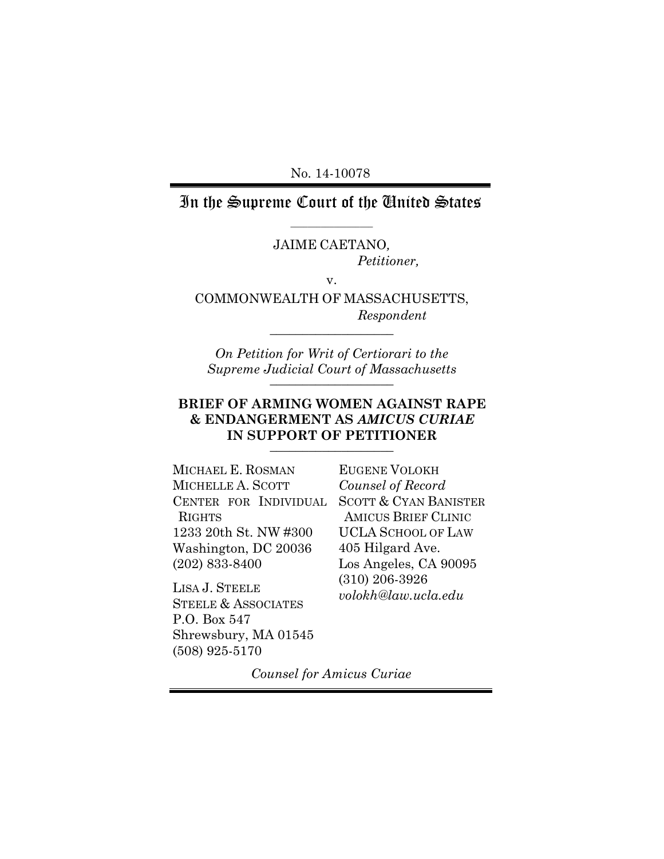No. 14-10078

In the Supreme Court of the United States  $\_$ 

JAIME CAETANO*,*

*Petitioner,*

v.

COMMONWEALTH OF MASSACHUSETTS, *Respondent* \_\_\_\_\_\_\_\_\_\_\_\_\_\_\_\_\_\_\_

*On Petition for Writ of Certiorari to the Supreme Judicial Court of Massachusetts* \_\_\_\_\_\_\_\_\_\_\_\_\_\_\_\_\_\_\_

## **BRIEF OF ARMING WOMEN AGAINST RAPE & ENDANGERMENT AS** *AMICUS CURIAE*  IN SUPPORT OF PETITIONER

MICHAEL E. ROSMAN MICHELLE A. SCOTT CENTER FOR INDIVIDUAL RIGHTS 1233 20th St. NW #300 Washington, DC 20036 (202) 833-8400

LISA J. STEELE STEELE & ASSOCIATES P.O. Box 547 Shrewsbury, MA 01545 (508) 925-5170

EUGENE VOLOKH *Counsel of Record* SCOTT & CYAN BANISTER AMICUS BRIEF CLINIC UCLA SCHOOL OF LAW 405 Hilgard Ave. Los Angeles, CA 90095 (310) 206-3926 *volokh@law.ucla.edu*

*Counsel for Amicus Curiae*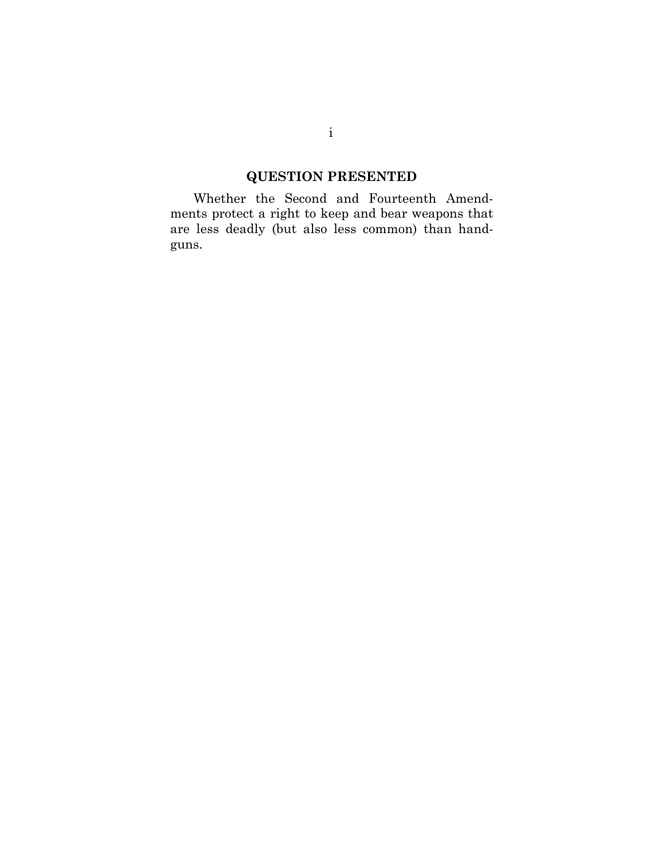# **QUESTION PRESENTED**

<span id="page-1-0"></span> ments protect a right to keep and bear weapons that Whether the Second and Fourteenth Amendare less deadly (but also less common) than handguns.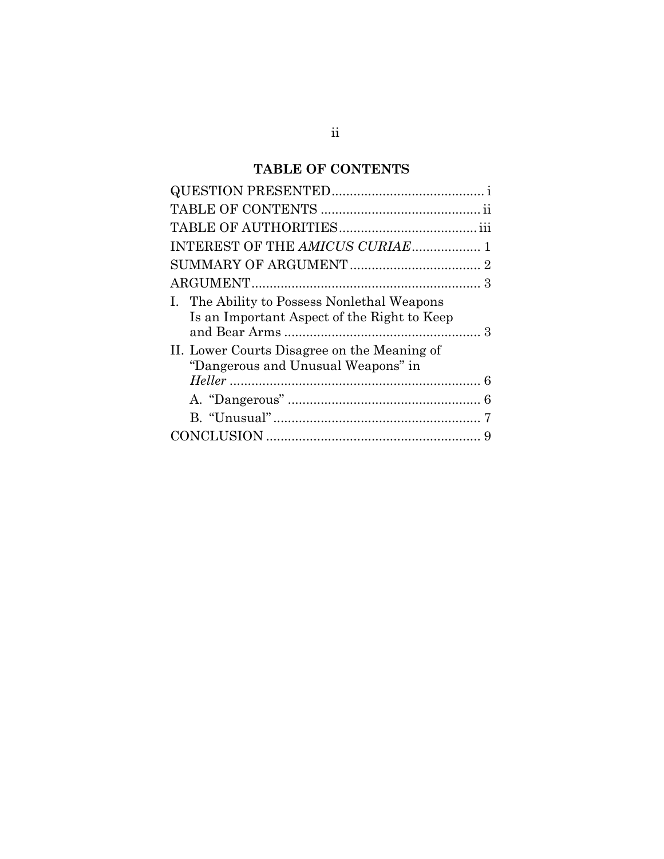# **TABLE OF CONTENTS**

<span id="page-2-0"></span>

| INTEREST OF THE AMICUS CURIAE 1                                                                                                                                                 |  |
|---------------------------------------------------------------------------------------------------------------------------------------------------------------------------------|--|
|                                                                                                                                                                                 |  |
|                                                                                                                                                                                 |  |
| I. The Ability to Possess Nonlethal Weapons<br>Is an Important Aspect of the Right to Keep<br>II. Lower Courts Disagree on the Meaning of<br>"Dangerous and Unusual Weapons" in |  |
|                                                                                                                                                                                 |  |
|                                                                                                                                                                                 |  |
|                                                                                                                                                                                 |  |
|                                                                                                                                                                                 |  |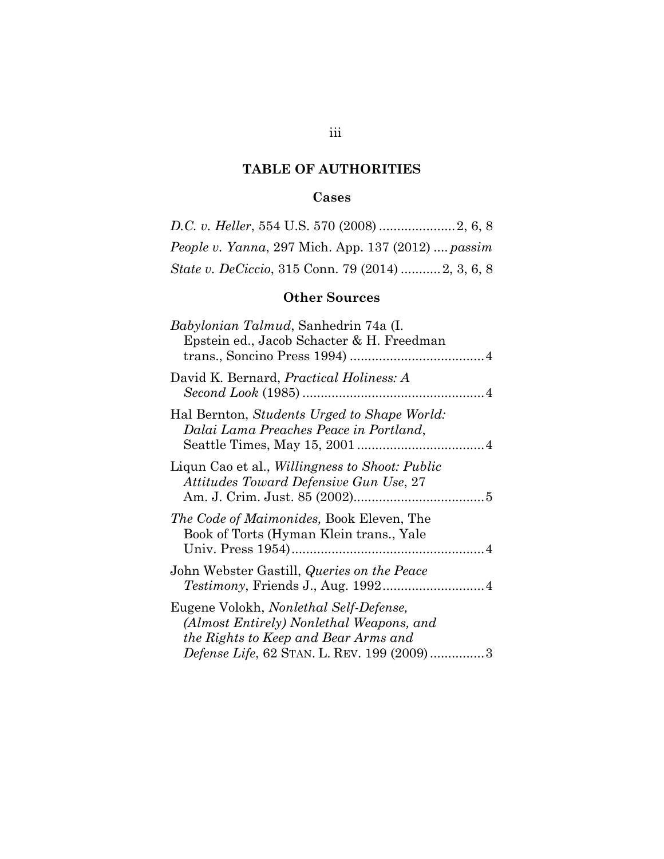# **TABLE OF AUTHORITIES**

# **Cases**

<span id="page-3-0"></span>

| <i>People v. Yanna, 297 Mich. App. 137 (2012)  passim</i> |  |
|-----------------------------------------------------------|--|
| <i>State v. DeCiccio, 315 Conn. 79 (2014) 2, 3, 6, 8</i>  |  |

# **Other Sources**

| <i>Babylonian Talmud</i> , Sanhedrin 74a (I.<br>Epstein ed., Jacob Schacter & H. Freedman                                                                                       |
|---------------------------------------------------------------------------------------------------------------------------------------------------------------------------------|
| David K. Bernard, <i>Practical Holiness: A</i>                                                                                                                                  |
| Hal Bernton, Students Urged to Shape World:<br>Dalai Lama Preaches Peace in Portland,                                                                                           |
| Liqun Cao et al., <i>Willingness to Shoot: Public</i><br>Attitudes Toward Defensive Gun Use, 27                                                                                 |
| <i>The Code of Maimonides, Book Eleven, The</i><br>Book of Torts (Hyman Klein trans., Yale                                                                                      |
| John Webster Gastill, <i>Queries on the Peace</i>                                                                                                                               |
| Eugene Volokh, Nonlethal Self-Defense,<br>(Almost Entirely) Nonlethal Weapons, and<br>the Rights to Keep and Bear Arms and<br><i>Defense Life, 62 STAN. L. REV. 199 (2009)3</i> |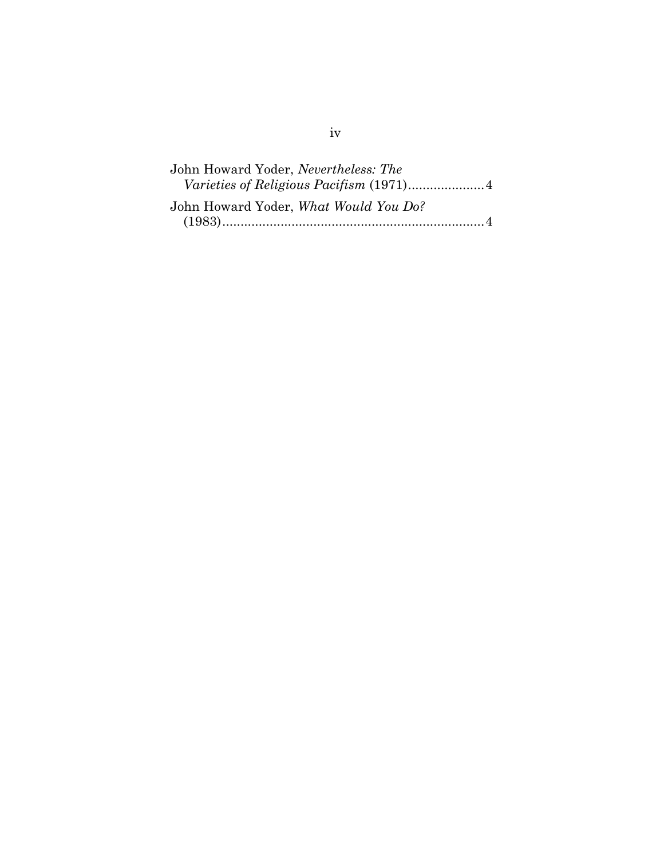| John Howard Yoder, Nevertheless: The  |  |
|---------------------------------------|--|
|                                       |  |
| John Howard Yoder, What Would You Do? |  |
|                                       |  |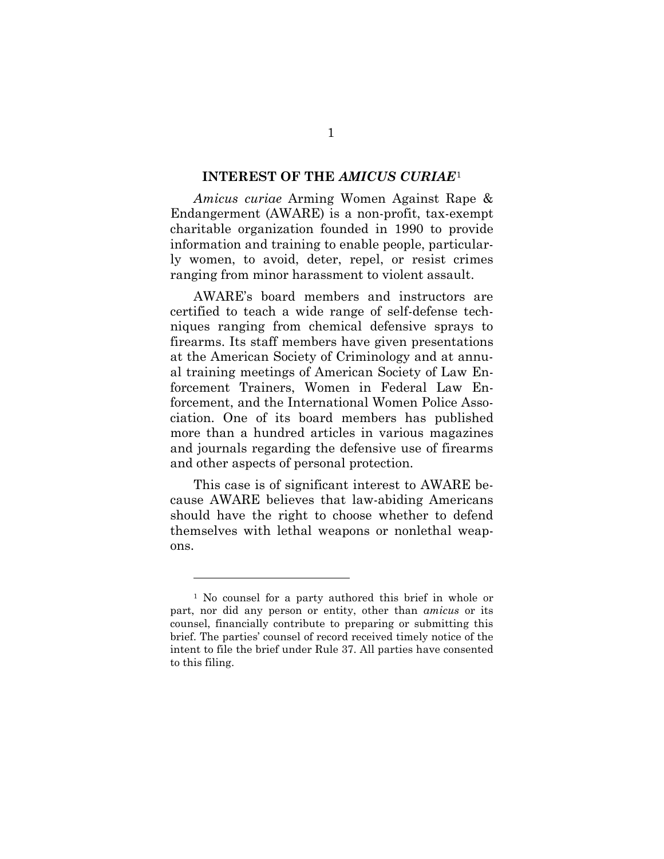#### <span id="page-5-0"></span>**INTEREST OF THE** *AMICUS CURIAE*[1](#page-5-1)

 Endangerment (AWARE) is a non-profit, tax-exempt *Amicus curiae* Arming Women Against Rape & charitable organization founded in 1990 to provide information and training to enable people, particularly women, to avoid, deter, repel, or resist crimes ranging from minor harassment to violent assault.

AWARE's board members and instructors are certified to teach a wide range of self-defense techniques ranging from chemical defensive sprays to firearms. Its staff members have given presentations at the American Society of Criminology and at annual training meetings of American Society of Law Enforcement Trainers, Women in Federal Law Enforcement, and the International Women Police Association. One of its board members has published more than a hundred articles in various magazines and journals regarding the defensive use of firearms and other aspects of personal protection.

This case is of significant interest to AWARE because AWARE believes that law-abiding Americans should have the right to choose whether to defend themselves with lethal weapons or nonlethal weapons.

<span id="page-5-1"></span><sup>1</sup> No counsel for a party authored this brief in whole or part, nor did any person or entity, other than *amicus* or its counsel, financially contribute to preparing or submitting this brief. The parties' counsel of record received timely notice of the intent to file the brief under Rule 37. All parties have consented to this filing.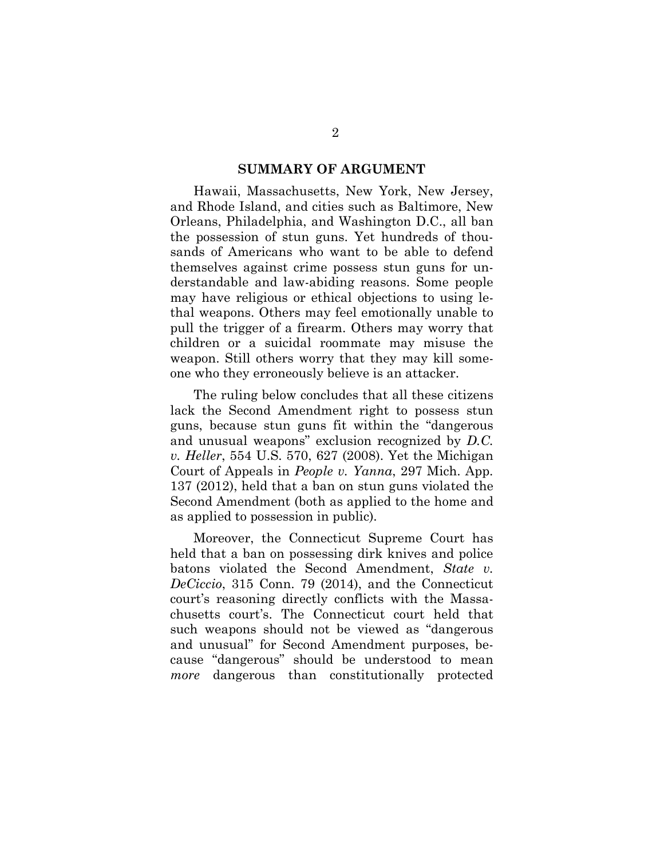#### **SUMMARY OF ARGUMENT**

<span id="page-6-0"></span>Hawaii, Massachusetts, New York, New Jersey, and Rhode Island, and cities such as Baltimore, New Orleans, Philadelphia, and Washington D.C., all ban the possession of stun guns. Yet hundreds of thousands of Americans who want to be able to defend themselves against crime possess stun guns for understandable and law-abiding reasons. Some people may have religious or ethical objections to using lethal weapons. Others may feel emotionally unable to pull the trigger of a firearm. Others may worry that children or a suicidal roommate may misuse the weapon. Still others worry that they may kill someone who they erroneously believe is an attacker.

The ruling below concludes that all these citizens lack the Second Amendment right to possess stun guns, because stun guns fit within the "dangerous and unusual weapons" exclusion recognized by *D.C. v. Heller*, 554 U.S. 570, 627 (2008). Yet the Michigan Court of Appeals in *People v. Yanna*, 297 Mich. App. 137 (2012), held that a ban on stun guns violated the Second Amendment (both as applied to the home and as applied to possession in public).

Moreover, the Connecticut Supreme Court has held that a ban on possessing dirk knives and police batons violated the Second Amendment, *State v. DeCiccio*, 315 Conn. 79 (2014), and the Connecticut court's reasoning directly conflicts with the Massachusetts court's. The Connecticut court held that such weapons should not be viewed as "dangerous and unusual" for Second Amendment purposes, because "dangerous" should be understood to mean *more* dangerous than constitutionally protected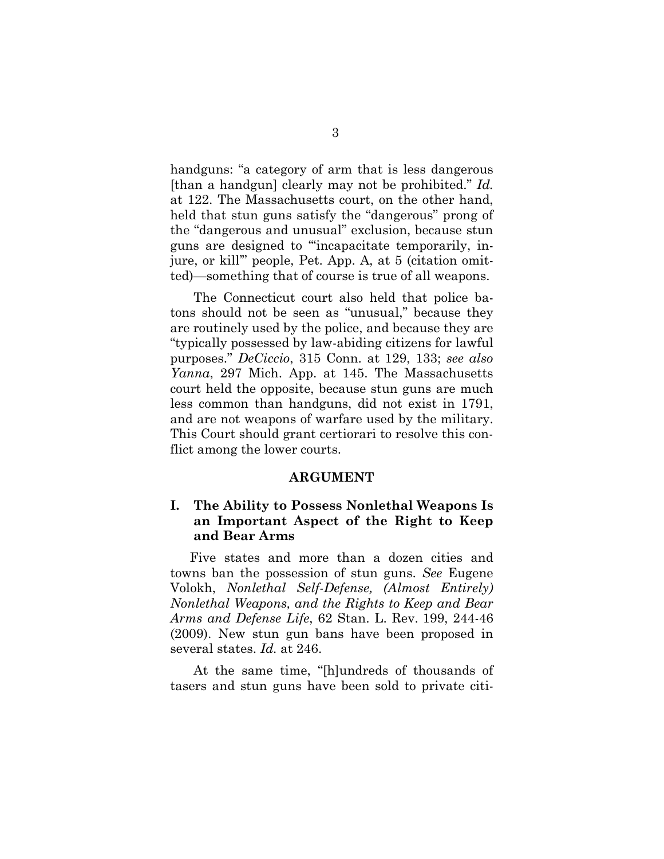handguns: "a category of arm that is less dangerous [than a handgun] clearly may not be prohibited." *Id.* at 122. The Massachusetts court, on the other hand, held that stun guns satisfy the "dangerous" prong of the "dangerous and unusual" exclusion, because stun guns are designed to "'incapacitate temporarily, injure, or kill'" people, Pet. App. A, at 5 (citation omitted)—something that of course is true of all weapons.

The Connecticut court also held that police batons should not be seen as "unusual," because they are routinely used by the police, and because they are "typically possessed by law-abiding citizens for lawful purposes." *DeCiccio*, 315 Conn. at 129, 133; *see also Yanna*, 297 Mich. App. at 145. The Massachusetts court held the opposite, because stun guns are much less common than handguns, did not exist in 1791, and are not weapons of warfare used by the military. This Court should grant certiorari to resolve this conflict among the lower courts.

#### **ARGUMENT**

### <span id="page-7-1"></span><span id="page-7-0"></span>**I. The Ability to Possess Nonlethal Weapons Is an Important Aspect of the Right to Keep and Bear Arms**

Five states and more than a dozen cities and towns ban the possession of stun guns. *See* Eugene Volokh, *Nonlethal Self-Defense, (Almost Entirely) Nonlethal Weapons, and the Rights to Keep and Bear Arms and Defense Life*, 62 Stan. L. Rev. 199, 244-46 (2009). New stun gun bans have been proposed in several states. *Id.* at 246.

At the same time, "[h]undreds of thousands of tasers and stun guns have been sold to private citi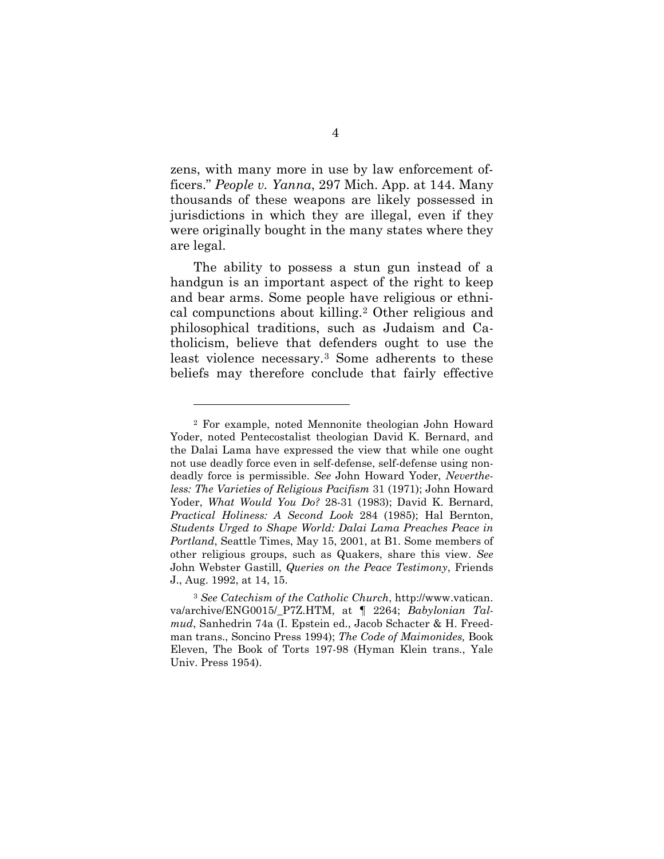zens, with many more in use by law enforcement officers." *People v. Yanna*, 297 Mich. App. at 144. Many thousands of these weapons are likely possessed in jurisdictions in which they are illegal, even if they were originally bought in the many states where they are legal.

The ability to possess a stun gun instead of a handgun is an important aspect of the right to keep and bear arms. Some people have religious or ethnical compunctions about killing.[2](#page-8-0) Other religious and philosophical traditions, such as Judaism and Catholicism, believe that defenders ought to use the least violence necessary.[3](#page-8-1) Some adherents to these beliefs may therefore conclude that fairly effective

 $\overline{a}$ 

<span id="page-8-0"></span><sup>2</sup> For example, noted Mennonite theologian John Howard Yoder, noted Pentecostalist theologian David K. Bernard, and the Dalai Lama have expressed the view that while one ought not use deadly force even in self-defense, self-defense using nondeadly force is permissible. *See* John Howard Yoder, *Nevertheless: The Varieties of Religious Pacifism* 31 (1971); John Howard Yoder, *What Would You Do?* 28-31 (1983); David K. Bernard, *Practical Holiness: A Second Look* 284 (1985); Hal Bernton, *Students Urged to Shape World: Dalai Lama Preaches Peace in Portland*, Seattle Times, May 15, 2001, at B1. Some members of other religious groups, such as Quakers, share this view. *See*  John Webster Gastill, *Queries on the Peace Testimony*, Friends J., Aug. 1992, at 14, 15.

<span id="page-8-1"></span><sup>3</sup> *See Catechism of the Catholic Church*, http://www.vatican. va/archive/ENG0015/\_P7Z.HTM, at ¶ 2264; *Babylonian Talmud*, Sanhedrin 74a (I. Epstein ed., Jacob Schacter & H. Freedman trans., Soncino Press 1994); *The Code of Maimonides,* Book Eleven, The Book of Torts 197-98 (Hyman Klein trans., Yale Univ. Press 1954).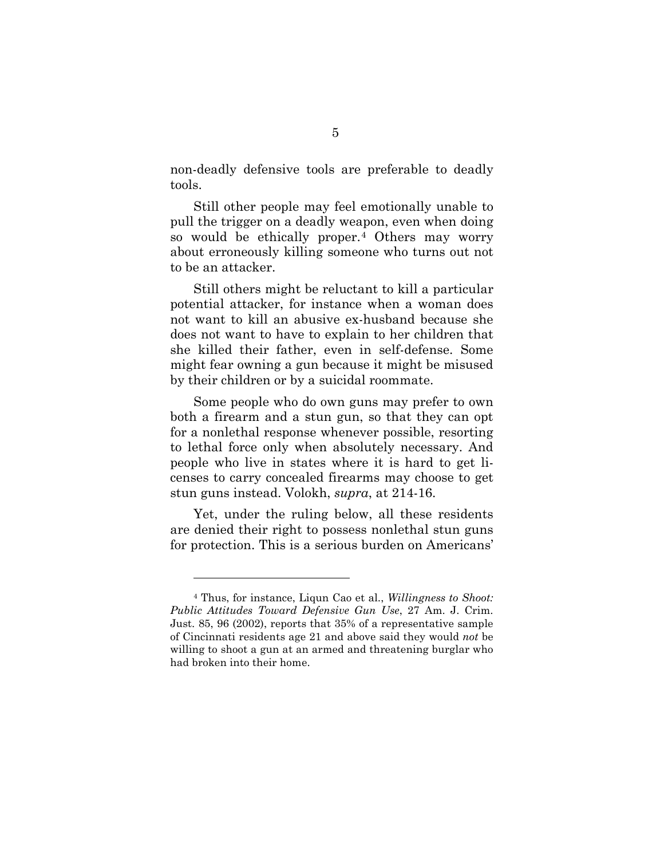non-deadly defensive tools are preferable to deadly tools.

Still other people may feel emotionally unable to pull the trigger on a deadly weapon, even when doing so would be ethically proper.[4](#page-9-0) Others may worry about erroneously killing someone who turns out not to be an attacker.

Still others might be reluctant to kill a particular potential attacker, for instance when a woman does not want to kill an abusive ex-husband because she does not want to have to explain to her children that she killed their father, even in self-defense. Some might fear owning a gun because it might be misused by their children or by a suicidal roommate.

Some people who do own guns may prefer to own both a firearm and a stun gun, so that they can opt for a nonlethal response whenever possible, resorting to lethal force only when absolutely necessary. And people who live in states where it is hard to get licenses to carry concealed firearms may choose to get stun guns instead. Volokh, *supra*, at 214-16.

Yet, under the ruling below, all these residents are denied their right to possess nonlethal stun guns for protection. This is a serious burden on Americans'

<span id="page-9-0"></span><sup>4</sup> Thus, for instance, Liqun Cao et al., *Willingness to Shoot: Public Attitudes Toward Defensive Gun Use*, 27 Am. J. Crim. Just. 85, 96 (2002), reports that 35% of a representative sample of Cincinnati residents age 21 and above said they would *not* be willing to shoot a gun at an armed and threatening burglar who had broken into their home.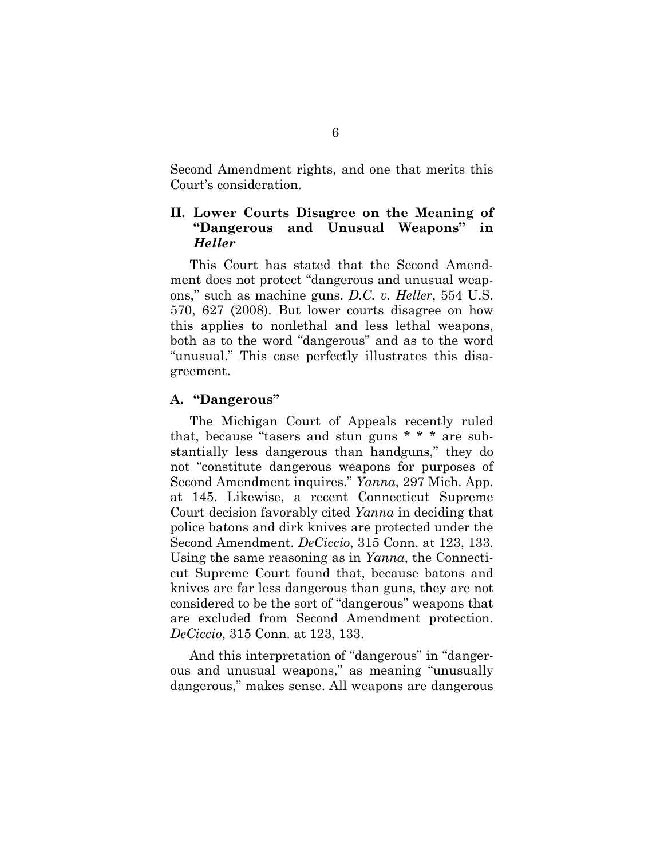Second Amendment rights, and one that merits this Court's consideration.

## <span id="page-10-0"></span>**II. Lower Courts Disagree on the Meaning of "Dangerous and Unusual Weapons" in**  *Heller*

This Court has stated that the Second Amendment does not protect "dangerous and unusual weapons," such as machine guns. *D.C. v. Heller*, 554 U.S. 570, 627 (2008). But lower courts disagree on how this applies to nonlethal and less lethal weapons, both as to the word "dangerous" and as to the word "unusual." This case perfectly illustrates this disagreement.

### <span id="page-10-1"></span>**A. "Dangerous"**

The Michigan Court of Appeals recently ruled that, because "tasers and stun guns \* \* \* are substantially less dangerous than handguns," they do not "constitute dangerous weapons for purposes of Second Amendment inquires." *Yanna*, 297 Mich. App. at 145. Likewise, a recent Connecticut Supreme Court decision favorably cited *Yanna* in deciding that police batons and dirk knives are protected under the Second Amendment. *DeCiccio*, 315 Conn. at 123, 133. Using the same reasoning as in *Yanna*, the Connecticut Supreme Court found that, because batons and knives are far less dangerous than guns, they are not considered to be the sort of "dangerous" weapons that are excluded from Second Amendment protection. *DeCiccio*, 315 Conn. at 123, 133.

And this interpretation of "dangerous" in "dangerous and unusual weapons," as meaning "unusually dangerous," makes sense. All weapons are dangerous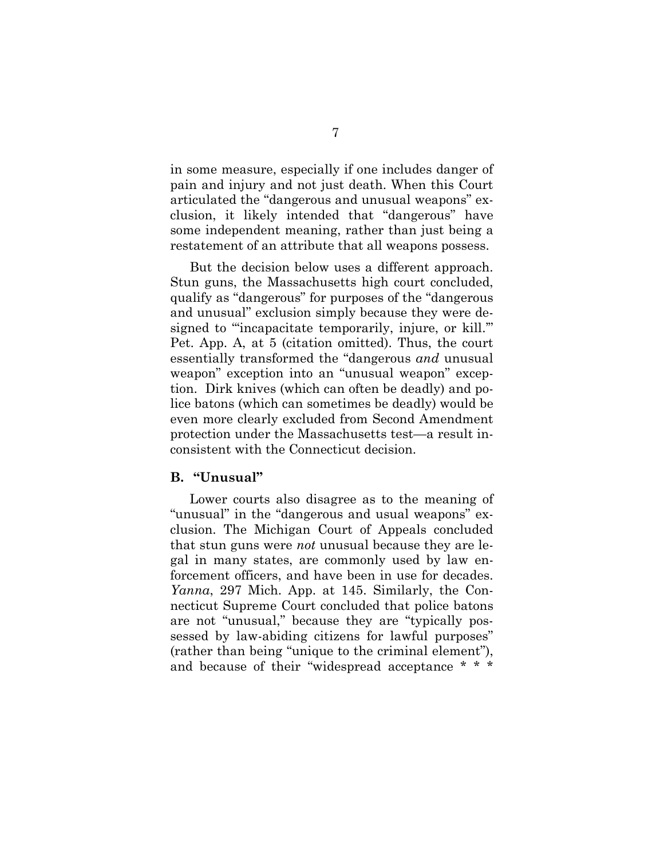in some measure, especially if one includes danger of pain and injury and not just death. When this Court articulated the "dangerous and unusual weapons" exclusion, it likely intended that "dangerous" have some independent meaning, rather than just being a restatement of an attribute that all weapons possess.

But the decision below uses a different approach. Stun guns, the Massachusetts high court concluded, qualify as "dangerous" for purposes of the "dangerous and unusual" exclusion simply because they were designed to "'incapacitate temporarily, injure, or kill.'" Pet. App. A, at 5 (citation omitted). Thus, the court essentially transformed the "dangerous *and* unusual weapon" exception into an "unusual weapon" exception. Dirk knives (which can often be deadly) and police batons (which can sometimes be deadly) would be even more clearly excluded from Second Amendment protection under the Massachusetts test—a result inconsistent with the Connecticut decision.

#### <span id="page-11-0"></span>**B. "Unusual"**

Lower courts also disagree as to the meaning of "unusual" in the "dangerous and usual weapons" exclusion. The Michigan Court of Appeals concluded that stun guns were *not* unusual because they are legal in many states, are commonly used by law enforcement officers, and have been in use for decades. *Yanna*, 297 Mich. App. at 145. Similarly, the Connecticut Supreme Court concluded that police batons are not "unusual," because they are "typically possessed by law-abiding citizens for lawful purposes" (rather than being "unique to the criminal element"), and because of their "widespread acceptance \* \* \*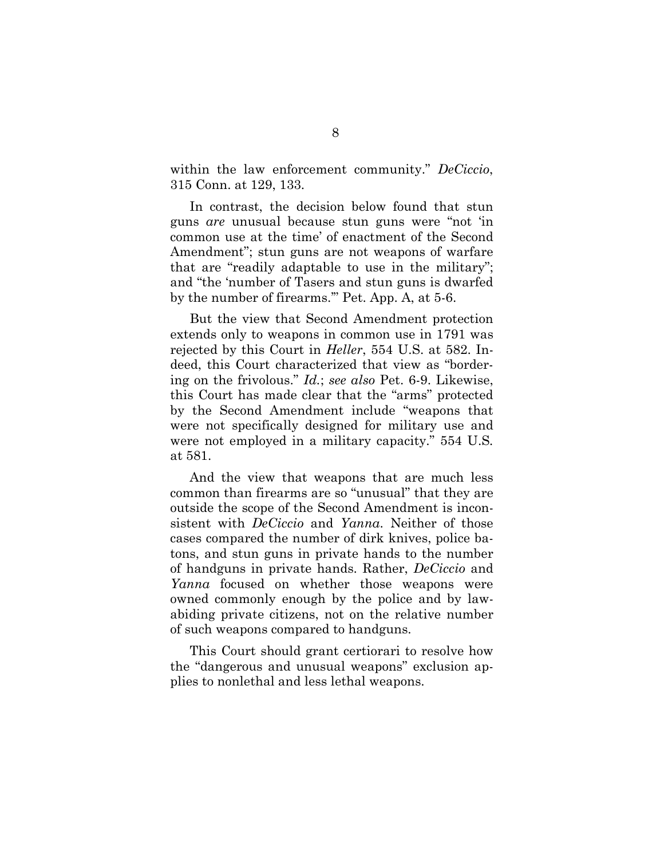within the law enforcement community." *DeCiccio*, 315 Conn. at 129, 133.

In contrast, the decision below found that stun guns *are* unusual because stun guns were "not 'in common use at the time' of enactment of the Second Amendment"; stun guns are not weapons of warfare that are "readily adaptable to use in the military"; and "the 'number of Tasers and stun guns is dwarfed by the number of firearms.'" Pet. App. A, at 5-6.

But the view that Second Amendment protection extends only to weapons in common use in 1791 was rejected by this Court in *Heller*, 554 U.S. at 582. Indeed, this Court characterized that view as "bordering on the frivolous." *Id.*; *see also* Pet. 6-9. Likewise, this Court has made clear that the "arms" protected by the Second Amendment include "weapons that were not specifically designed for military use and were not employed in a military capacity." 554 U.S*.* at 581.

And the view that weapons that are much less common than firearms are so "unusual" that they are outside the scope of the Second Amendment is inconsistent with *DeCiccio* and *Yanna*. Neither of those cases compared the number of dirk knives, police batons, and stun guns in private hands to the number of handguns in private hands. Rather, *DeCiccio* and *Yanna* focused on whether those weapons were owned commonly enough by the police and by lawabiding private citizens, not on the relative number of such weapons compared to handguns.

This Court should grant certiorari to resolve how the "dangerous and unusual weapons" exclusion applies to nonlethal and less lethal weapons.